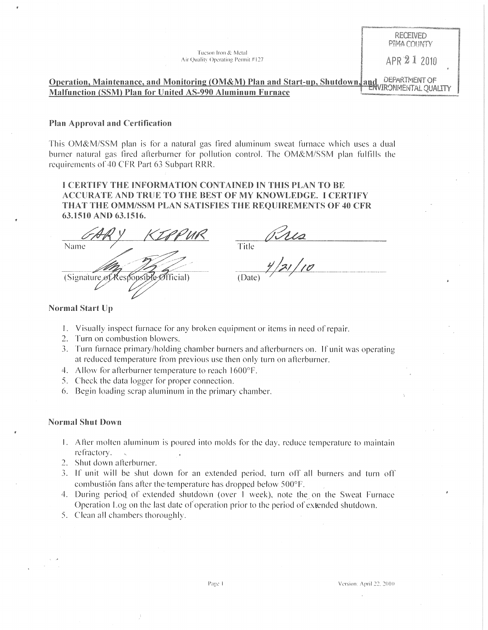Tucson Iron & Metal Air Quality Operating Permit #127  $\Delta PR \ 21$  2010

**RECEIVED** PIMA COUNTY

**Operation, Maintenance, and Monitoring (OM&M) Plan and Start-up, Shutdown, and DEPARTWENT OF** Malfunction (SSM) Plan for United AS-990 Aluminum Furnace

#### Plan Approval and Certification

This OM&M/SSM plan is for a natural gas fired aluminum sweat furnace which uses a dual burner natural gas fired afterburner for pollution control. The OM&M/SSM plan fulfills the requirements of 40 CFR Part 63 Subpart RRR.

I CERTIFY THE INFORMATION CONTAINED IN THIS PLAN TO BE ACCURATE AND TRUE TO THE BEST OF MY KNOWLEDGE. I CERTIFY THAT THE OMM/SSM PLAN SATISFIES THE REQUIREMENTS OF 40 CFR 63.1510 AND 63.1516.

Name (Signature of Responsible Official)

 $\frac{65112}{\frac{7}{10}}$ 

#### Normal Start Up

- I. Visually inspect furnace for any broken equipment or items in need of repair.
- 2. Turn on combustion blowers.
- **3.** Turn furnace primary/holding chamber burners and afterburners on. If unit was operating at reduced temperature from previous use then only turn on atlerburner.
- 4. Allow for afterburner temperature to reach 1600°F.
- 5. Check the data logger for proper connection.
- 6. Begin loading scrap aluminum in the primary chamber.

#### Normal Shut Down

- I. Atler molten aluminum is poured into molds for the day. reduce temperature to maintain refractory.
- 2. Shut down afterburner.
- 3. If unit will be shut down for an extended period. turn off all burners and turn off combustión fans after the temperature has dropped below 500°F.
- 4. During period of extended shutdown (over 1 week), note the on the Sweat Furnace Operation Log on the last date of operation prior to the period of extended shutdown.
- 5. Clean all chambers thoroughly.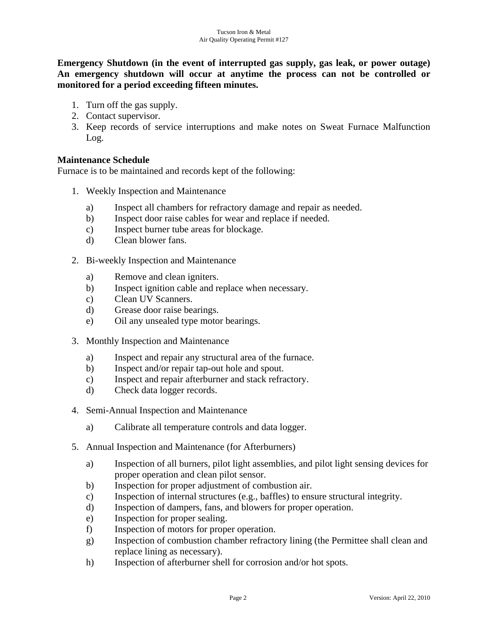**Emergency Shutdown (in the event of interrupted gas supply, gas leak, or power outage) An emergency shutdown will occur at anytime the process can not be controlled or monitored for a period exceeding fifteen minutes.** 

- 1. Turn off the gas supply.
- 2. Contact supervisor.
- 3. Keep records of service interruptions and make notes on Sweat Furnace Malfunction Log.

# **Maintenance Schedule**

Furnace is to be maintained and records kept of the following:

- 1. Weekly Inspection and Maintenance
	- a) Inspect all chambers for refractory damage and repair as needed.
	- b) Inspect door raise cables for wear and replace if needed.
	- c) Inspect burner tube areas for blockage.
	- d) Clean blower fans.
- 2. Bi-weekly Inspection and Maintenance
	- a) Remove and clean igniters.
	- b) Inspect ignition cable and replace when necessary.
	- c) Clean UV Scanners.
	- d) Grease door raise bearings.
	- e) Oil any unsealed type motor bearings.
- 3. Monthly Inspection and Maintenance
	- a) Inspect and repair any structural area of the furnace.
	- b) Inspect and/or repair tap-out hole and spout.
	- c) Inspect and repair afterburner and stack refractory.
	- d) Check data logger records.
- 4. Semi-Annual Inspection and Maintenance
	- a) Calibrate all temperature controls and data logger.
- 5. Annual Inspection and Maintenance (for Afterburners)
	- a) Inspection of all burners, pilot light assemblies, and pilot light sensing devices for proper operation and clean pilot sensor.
	- b) Inspection for proper adjustment of combustion air.
	- c) Inspection of internal structures (e.g., baffles) to ensure structural integrity.
	- d) Inspection of dampers, fans, and blowers for proper operation.
	- e) Inspection for proper sealing.
	- f) Inspection of motors for proper operation.
	- g) Inspection of combustion chamber refractory lining (the Permittee shall clean and replace lining as necessary).
	- h) Inspection of afterburner shell for corrosion and/or hot spots.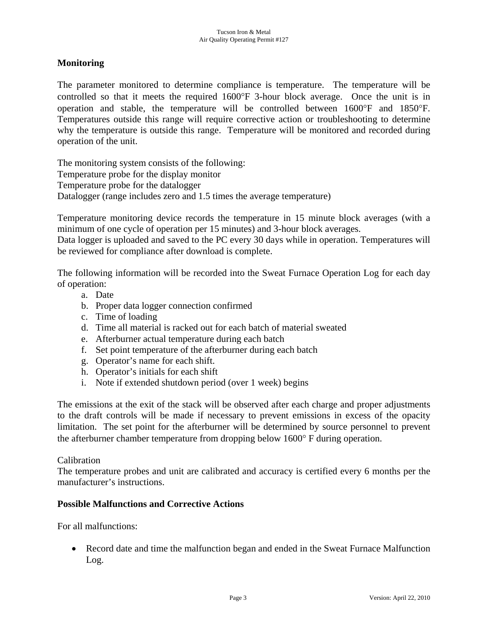## **Monitoring**

The parameter monitored to determine compliance is temperature. The temperature will be controlled so that it meets the required 1600°F 3-hour block average. Once the unit is in operation and stable, the temperature will be controlled between 1600°F and 1850°F. Temperatures outside this range will require corrective action or troubleshooting to determine why the temperature is outside this range. Temperature will be monitored and recorded during operation of the unit.

The monitoring system consists of the following: Temperature probe for the display monitor Temperature probe for the datalogger Datalogger (range includes zero and 1.5 times the average temperature)

Temperature monitoring device records the temperature in 15 minute block averages (with a minimum of one cycle of operation per 15 minutes) and 3-hour block averages.

Data logger is uploaded and saved to the PC every 30 days while in operation. Temperatures will be reviewed for compliance after download is complete.

The following information will be recorded into the Sweat Furnace Operation Log for each day of operation:

- a. Date
- b. Proper data logger connection confirmed
- c. Time of loading
- d. Time all material is racked out for each batch of material sweated
- e. Afterburner actual temperature during each batch
- f. Set point temperature of the afterburner during each batch
- g. Operator's name for each shift.
- h. Operator's initials for each shift
- i. Note if extended shutdown period (over 1 week) begins

The emissions at the exit of the stack will be observed after each charge and proper adjustments to the draft controls will be made if necessary to prevent emissions in excess of the opacity limitation. The set point for the afterburner will be determined by source personnel to prevent the afterburner chamber temperature from dropping below 1600° F during operation.

### Calibration

The temperature probes and unit are calibrated and accuracy is certified every 6 months per the manufacturer's instructions.

## **Possible Malfunctions and Corrective Actions**

For all malfunctions:

• Record date and time the malfunction began and ended in the Sweat Furnace Malfunction Log.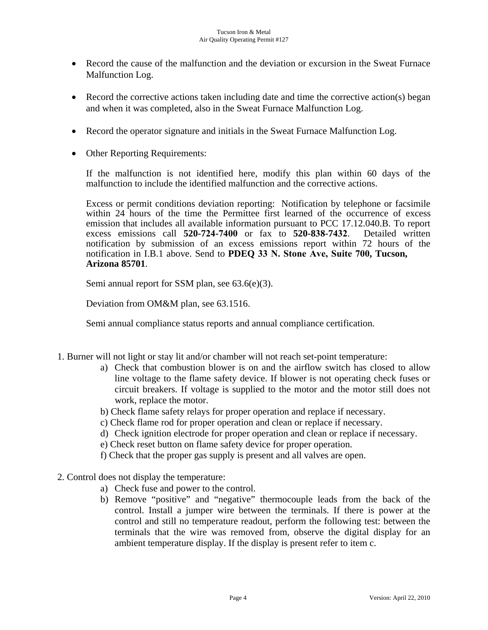- Record the cause of the malfunction and the deviation or excursion in the Sweat Furnace Malfunction Log.
- Record the corrective actions taken including date and time the corrective action(s) began and when it was completed, also in the Sweat Furnace Malfunction Log.
- Record the operator signature and initials in the Sweat Furnace Malfunction Log.
- Other Reporting Requirements:

If the malfunction is not identified here, modify this plan within 60 days of the malfunction to include the identified malfunction and the corrective actions.

Excess or permit conditions deviation reporting: Notification by telephone or facsimile within 24 hours of the time the Permittee first learned of the occurrence of excess emission that includes all available information pursuant to PCC 17.12.040.B. To report excess emissions call **520-724-7400** or fax to **520-838-7432**. Detailed written notification by submission of an excess emissions report within 72 hours of the notification in I.B.1 above. Send to **PDEQ 33 N. Stone Ave, Suite 700, Tucson, Arizona 85701**.

Semi annual report for SSM plan, see 63.6(e)(3).

Deviation from OM&M plan, see 63.1516.

Semi annual compliance status reports and annual compliance certification.

- 1. Burner will not light or stay lit and/or chamber will not reach set-point temperature:
	- a) Check that combustion blower is on and the airflow switch has closed to allow line voltage to the flame safety device. If blower is not operating check fuses or circuit breakers. If voltage is supplied to the motor and the motor still does not work, replace the motor.
	- b) Check flame safety relays for proper operation and replace if necessary.
	- c) Check flame rod for proper operation and clean or replace if necessary.
	- d) Check ignition electrode for proper operation and clean or replace if necessary.
	- e) Check reset button on flame safety device for proper operation.
	- f) Check that the proper gas supply is present and all valves are open.
- 2. Control does not display the temperature:
	- a) Check fuse and power to the control.
	- b) Remove "positive" and "negative" thermocouple leads from the back of the control. Install a jumper wire between the terminals. If there is power at the control and still no temperature readout, perform the following test: between the terminals that the wire was removed from, observe the digital display for an ambient temperature display. If the display is present refer to item c.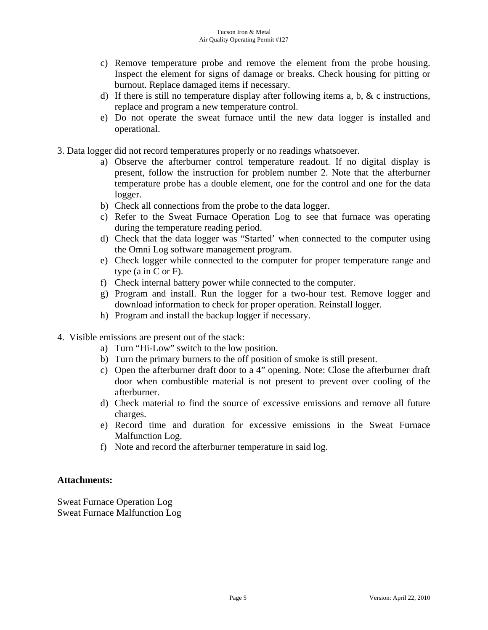- c) Remove temperature probe and remove the element from the probe housing. Inspect the element for signs of damage or breaks. Check housing for pitting or burnout. Replace damaged items if necessary.
- d) If there is still no temperature display after following items a, b,  $\&$  c instructions, replace and program a new temperature control.
- e) Do not operate the sweat furnace until the new data logger is installed and operational.
- 3. Data logger did not record temperatures properly or no readings whatsoever.
	- a) Observe the afterburner control temperature readout. If no digital display is present, follow the instruction for problem number 2. Note that the afterburner temperature probe has a double element, one for the control and one for the data logger.
	- b) Check all connections from the probe to the data logger.
	- c) Refer to the Sweat Furnace Operation Log to see that furnace was operating during the temperature reading period.
	- d) Check that the data logger was "Started' when connected to the computer using the Omni Log software management program.
	- e) Check logger while connected to the computer for proper temperature range and type (a in C or F).
	- f) Check internal battery power while connected to the computer.
	- g) Program and install. Run the logger for a two-hour test. Remove logger and download information to check for proper operation. Reinstall logger.
	- h) Program and install the backup logger if necessary.
- 4. Visible emissions are present out of the stack:
	- a) Turn "Hi-Low" switch to the low position.
	- b) Turn the primary burners to the off position of smoke is still present.
	- c) Open the afterburner draft door to a 4" opening. Note: Close the afterburner draft door when combustible material is not present to prevent over cooling of the afterburner.
	- d) Check material to find the source of excessive emissions and remove all future charges.
	- e) Record time and duration for excessive emissions in the Sweat Furnace Malfunction Log.
	- f) Note and record the afterburner temperature in said log.

## **Attachments:**

Sweat Furnace Operation Log Sweat Furnace Malfunction Log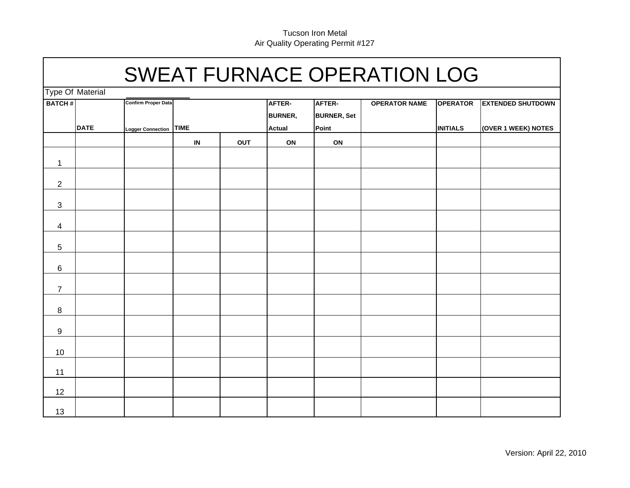# SWEAT FURNACE OPERATION LOG

Type Of Material

| I ype Of Material |             |                            |                                   |     |                          |                              |                      |                 |                          |
|-------------------|-------------|----------------------------|-----------------------------------|-----|--------------------------|------------------------------|----------------------|-----------------|--------------------------|
| <b>BATCH#</b>     | <b>DATE</b> | <b>Confirm Proper Data</b> |                                   |     | AFTER-<br><b>BURNER,</b> | AFTER-<br><b>BURNER, Set</b> | <b>OPERATOR NAME</b> | <b>OPERATOR</b> | <b>EXTENDED SHUTDOWN</b> |
|                   |             | Logger Connection TIME     |                                   |     | <b>Actual</b>            | Point                        |                      | <b>INITIALS</b> | (OVER 1 WEEK) NOTES      |
|                   |             |                            | $\ensuremath{\mathsf{IN}}\xspace$ | OUT | $\mathsf{ON}$            | ON                           |                      |                 |                          |
| $\mathbf{1}$      |             |                            |                                   |     |                          |                              |                      |                 |                          |
| $\overline{2}$    |             |                            |                                   |     |                          |                              |                      |                 |                          |
| $\mathbf{3}$      |             |                            |                                   |     |                          |                              |                      |                 |                          |
| $\overline{4}$    |             |                            |                                   |     |                          |                              |                      |                 |                          |
| $\overline{5}$    |             |                            |                                   |     |                          |                              |                      |                 |                          |
| $\,6\,$           |             |                            |                                   |     |                          |                              |                      |                 |                          |
| $\overline{7}$    |             |                            |                                   |     |                          |                              |                      |                 |                          |
| $\bf{8}$          |             |                            |                                   |     |                          |                              |                      |                 |                          |
| $9\,$             |             |                            |                                   |     |                          |                              |                      |                 |                          |
| 10                |             |                            |                                   |     |                          |                              |                      |                 |                          |
| 11                |             |                            |                                   |     |                          |                              |                      |                 |                          |
| 12                |             |                            |                                   |     |                          |                              |                      |                 |                          |
| 13                |             |                            |                                   |     |                          |                              |                      |                 |                          |